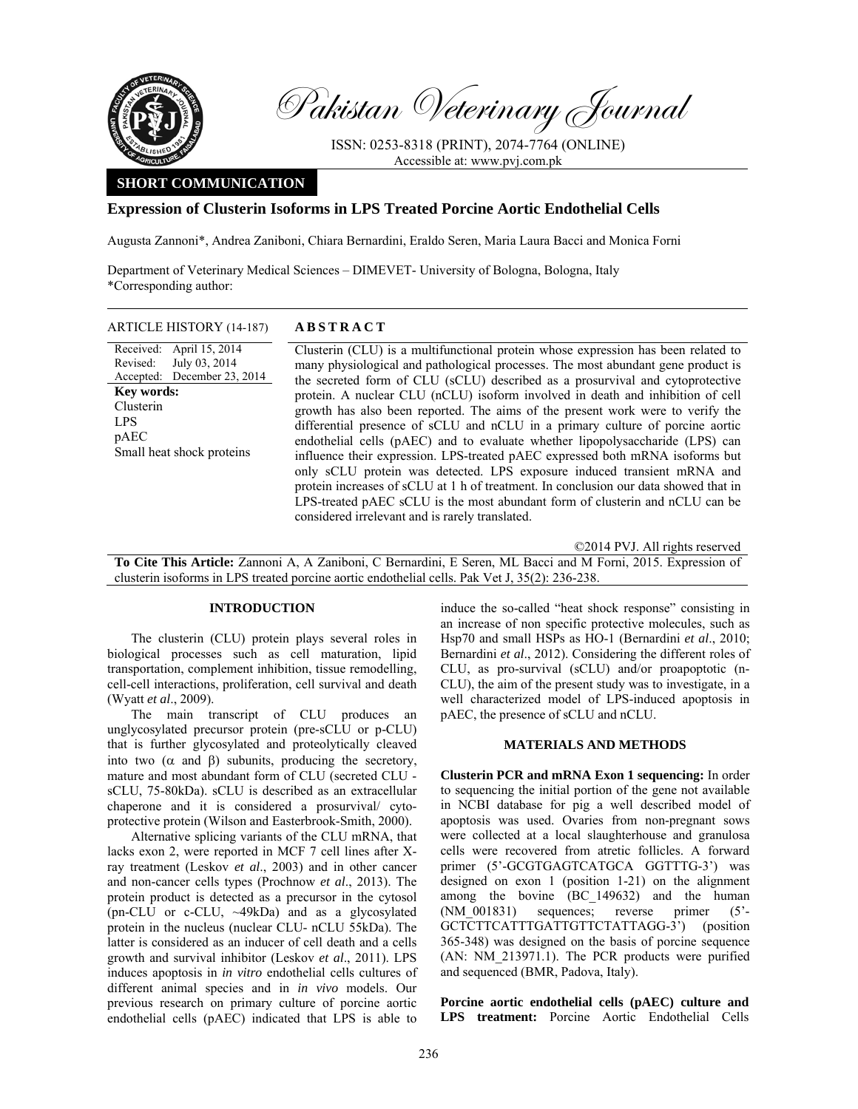

Pakistan Veterinary Journal

ISSN: 0253-8318 (PRINT), 2074-7764 (ONLINE) Accessible at: www.pvj.com.pk

# **SHORT COMMUNICATION**

## **Expression of Clusterin Isoforms in LPS Treated Porcine Aortic Endothelial Cells**

Augusta Zannoni\*, Andrea Zaniboni, Chiara Bernardini, Eraldo Seren, Maria Laura Bacci and Monica Forni

Department of Veterinary Medical Sciences – DIMEVET- University of Bologna, Bologna, Italy \*Corresponding author:

#### ARTICLE HISTORY (14-187) **ABSTRACT**

Received: April 15, 2014 Revised: Accepted: July 03, 2014 December 23, 2014 **Key words:**  Clusterin LPS pAEC Small heat shock proteins

 Clusterin (CLU) is a multifunctional protein whose expression has been related to many physiological and pathological processes. The most abundant gene product is the secreted form of CLU (sCLU) described as a prosurvival and cytoprotective

protein. A nuclear CLU (nCLU) isoform involved in death and inhibition of cell growth has also been reported. The aims of the present work were to verify the differential presence of sCLU and nCLU in a primary culture of porcine aortic endothelial cells (pAEC) and to evaluate whether lipopolysaccharide (LPS) can influence their expression. LPS-treated pAEC expressed both mRNA isoforms but only sCLU protein was detected. LPS exposure induced transient mRNA and protein increases of sCLU at 1 h of treatment. In conclusion our data showed that in LPS-treated pAEC sCLU is the most abundant form of clusterin and nCLU can be considered irrelevant and is rarely translated.

©2014 PVJ. All rights reserved

**To Cite This Article:** Zannoni A, A Zaniboni, C Bernardini, E Seren, ML Bacci and M Forni, 2015. Expression of clusterin isoforms in LPS treated porcine aortic endothelial cells. Pak Vet J, 35(2): 236-238.

## **INTRODUCTION**

The clusterin (CLU) protein plays several roles in biological processes such as cell maturation, lipid transportation, complement inhibition, tissue remodelling, cell-cell interactions, proliferation, cell survival and death (Wyatt *et al*., 2009).

The main transcript of CLU produces an unglycosylated precursor protein (pre-sCLU or p-CLU) that is further glycosylated and proteolytically cleaved into two  $(α$  and  $β)$  subunits, producing the secretory, mature and most abundant form of CLU (secreted CLU sCLU, 75-80kDa). sCLU is described as an extracellular chaperone and it is considered a prosurvival/ cytoprotective protein (Wilson and Easterbrook-Smith, 2000).

Alternative splicing variants of the CLU mRNA, that lacks exon 2, were reported in MCF 7 cell lines after Xray treatment (Leskov *et al*., 2003) and in other cancer and non-cancer cells types (Prochnow *et al*., 2013). The protein product is detected as a precursor in the cytosol (pn-CLU or c-CLU, ~49kDa) and as a glycosylated protein in the nucleus (nuclear CLU- nCLU 55kDa). The latter is considered as an inducer of cell death and a cells growth and survival inhibitor (Leskov *et al*., 2011). LPS induces apoptosis in *in vitro* endothelial cells cultures of different animal species and in *in vivo* models. Our previous research on primary culture of porcine aortic endothelial cells (pAEC) indicated that LPS is able to

induce the so-called "heat shock response" consisting in an increase of non specific protective molecules, such as Hsp70 and small HSPs as HO-1 (Bernardini *et al*., 2010; Bernardini *et al*., 2012). Considering the different roles of CLU, as pro-survival (sCLU) and/or proapoptotic (n-CLU), the aim of the present study was to investigate, in a well characterized model of LPS-induced apoptosis in pAEC, the presence of sCLU and nCLU.

## **MATERIALS AND METHODS**

**Clusterin PCR and mRNA Exon 1 sequencing:** In order to sequencing the initial portion of the gene not available in NCBI database for pig a well described model of apoptosis was used. Ovaries from non-pregnant sows were collected at a local slaughterhouse and granulosa cells were recovered from atretic follicles. A forward primer (5'-GCGTGAGTCATGCA GGTTTG-3') was designed on exon 1 (position 1-21) on the alignment among the bovine (BC\_149632) and the human (NM\_001831) sequences; reverse primer (5'- GCTCTTCATTTGATTGTTCTATTAGG-3') (position 365-348) was designed on the basis of porcine sequence (AN: NM\_213971.1). The PCR products were purified and sequenced (BMR, Padova, Italy).

**Porcine aortic endothelial cells (pAEC) culture and LPS treatment:** Porcine Aortic Endothelial Cells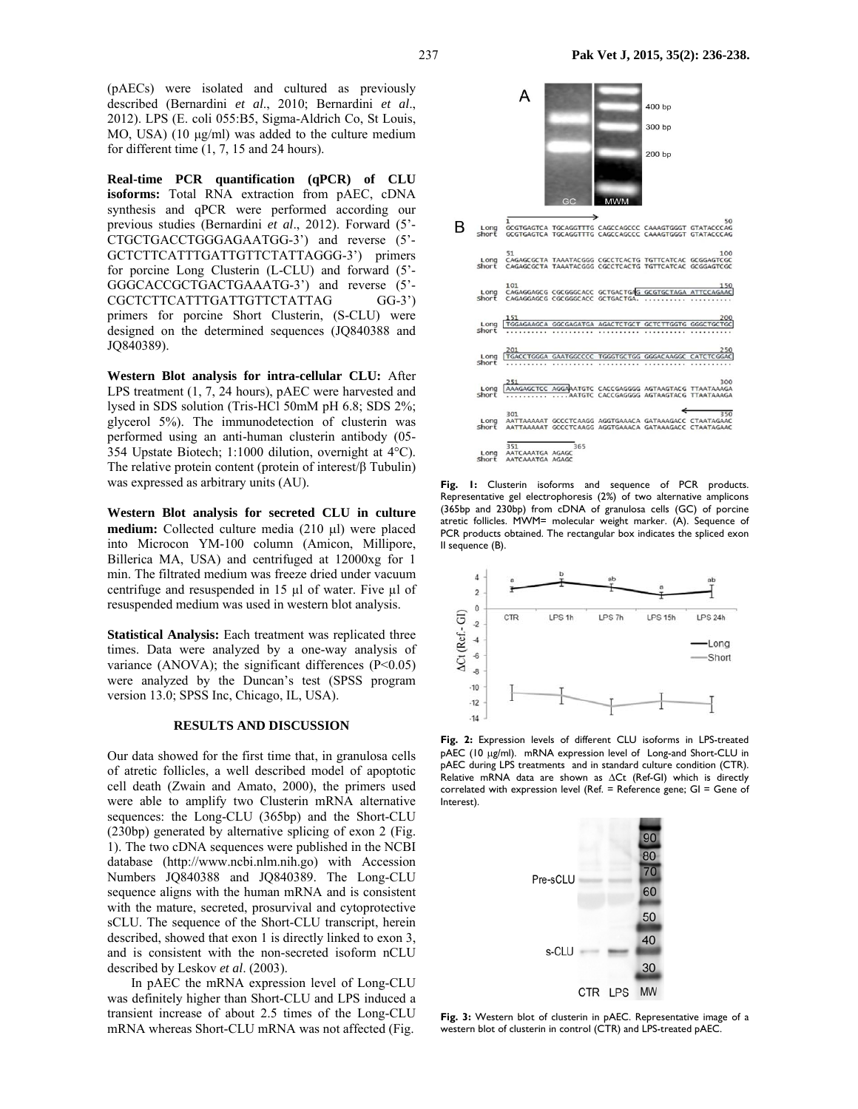(pAECs) were isolated and cultured as previously described (Bernardini *et al*., 2010; Bernardini *et al*., 2012). LPS (E. coli 055:B5, Sigma-Aldrich Co, St Louis, MO, USA) (10 μg/ml) was added to the culture medium for different time (1, 7, 15 and 24 hours).

**Real-time PCR quantification (qPCR) of CLU isoforms:** Total RNA extraction from pAEC, cDNA synthesis and qPCR were performed according our previous studies (Bernardini *et al*., 2012). Forward (5'- CTGCTGACCTGGGAGAATGG-3') and reverse (5'- GCTCTTCATTTGATTGTTCTATTAGGG-3') primers for porcine Long Clusterin (L-CLU) and forward (5'- GGGCACCGCTGACTGAAATG-3') and reverse (5'- CGCTCTTCATTTGATTGTTCTATTAG GG-3') primers for porcine Short Clusterin, (S-CLU) were designed on the determined sequences (JQ840388 and JQ840389).

**Western Blot analysis for intra-cellular CLU:** After LPS treatment (1, 7, 24 hours), pAEC were harvested and lysed in SDS solution (Tris-HCl 50mM pH 6.8; SDS 2%; glycerol 5%). The immunodetection of clusterin was performed using an anti-human clusterin antibody (05- 354 Upstate Biotech; 1:1000 dilution, overnight at 4°C). The relative protein content (protein of interest/β Tubulin) was expressed as arbitrary units (AU).

**Western Blot analysis for secreted CLU in culture medium:** Collected culture media (210 µl) were placed into Microcon YM-100 column (Amicon, Millipore, Billerica MA, USA) and centrifuged at 12000xg for 1 min. The filtrated medium was freeze dried under vacuum centrifuge and resuspended in 15 µl of water. Five µl of resuspended medium was used in western blot analysis.

**Statistical Analysis:** Each treatment was replicated three times. Data were analyzed by a one-way analysis of variance (ANOVA); the significant differences  $(P<0.05)$ were analyzed by the Duncan's test (SPSS program version 13.0; SPSS Inc, Chicago, IL, USA).

#### **RESULTS AND DISCUSSION**

Our data showed for the first time that, in granulosa cells of atretic follicles, a well described model of apoptotic cell death (Zwain and Amato, 2000), the primers used were able to amplify two Clusterin mRNA alternative sequences: the Long-CLU (365bp) and the Short-CLU (230bp) generated by alternative splicing of exon 2 (Fig. 1). The two cDNA sequences were published in the NCBI database (http://www.ncbi.nlm.nih.go) with Accession Numbers JQ840388 and JQ840389. The Long-CLU sequence aligns with the human mRNA and is consistent with the mature, secreted, prosurvival and cytoprotective sCLU. The sequence of the Short-CLU transcript, herein described, showed that exon 1 is directly linked to exon 3, and is consistent with the non-secreted isoform nCLU described by Leskov *et al*. (2003).

In pAEC the mRNA expression level of Long-CLU was definitely higher than Short-CLU and LPS induced a transient increase of about 2.5 times of the Long-CLU mRNA whereas Short-CLU mRNA was not affected (Fig.



**Fig. 1:** Clusterin isoforms and sequence of PCR products. Representative gel electrophoresis (2%) of two alternative amplicons (365bp and 230bp) from cDNA of granulosa cells (GC) of porcine atretic follicles. MWM= molecular weight marker. (A). Sequence of PCR products obtained. The rectangular box indicates the spliced exon II sequence (B).



**Fig. 2:** Expression levels of different CLU isoforms in LPS-treated pAEC (10 µg/ml). mRNA expression level of Long-and Short-CLU in pAEC during LPS treatments and in standard culture condition (CTR). Relative mRNA data are shown as ∆Ct (Ref-GI) which is directly correlated with expression level (Ref. = Reference gene; GI = Gene of Interest).



**Fig. 3:** Western blot of clusterin in pAEC. Representative image of a western blot of clusterin in control (CTR) and LPS-treated pAEC.